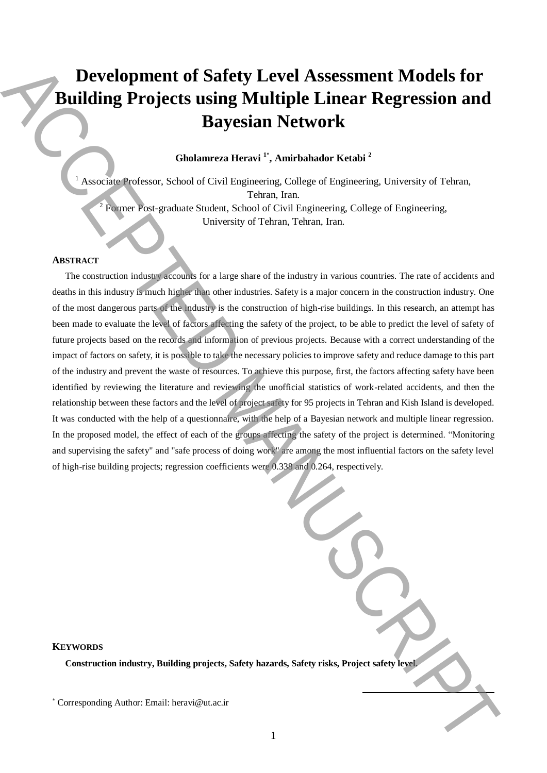# **Development of Safety Level Assessment Models for Building Projects using Multiple Linear Regression and Bayesian Network**

# **Gholamreza Heravi <sup>1</sup>**\* **, Amirbahador Ketabi <sup>2</sup>**

<sup>1</sup> Associate Professor, School of Civil Engineering, College of Engineering, University of Tehran, Tehran, Iran. <sup>2</sup> Former Post-graduate Student, School of Civil Engineering, College of Engineering,

University of Tehran, Tehran, Iran.

## **ABSTRACT**

The construction industry accounts for a large share of the industry in various countries. The rate of accidents and deaths in this industry is much higher than other industries. Safety is a major concern in the construction industry. One of the most dangerous parts of the industry is the construction of high-rise buildings. In this research, an attempt has been made to evaluate the level of factors affecting the safety of the project, to be able to predict the level of safety of future projects based on the records and information of previous projects. Because with a correct understanding of the impact of factors on safety, it is possible to take the necessary policies to improve safety and reduce damage to this part of the industry and prevent the waste of resources. To achieve this purpose, first, the factors affecting safety have been identified by reviewing the literature and reviewing the unofficial statistics of work-related accidents, and then the relationship between these factors and the level of project safety for 95 projects in Tehran and Kish Island is developed. It was conducted with the help of a questionnaire, with the help of a Bayesian network and multiple linear regression. In the proposed model, the effect of each of the groups affecting the safety of the project is determined. "Monitoring and supervising the safety" and "safe process of doing work" are among the most influential factors on the safety level of high-rise building projects; regression coefficients were 0.338 and 0.264, respectively. **Example 10** Corresponding Author: The main of the signal state of the signal state of the signal state of the signal state of the signal state of the signal state of the signal state of the signal state of the signal stat

**KEYWORDS** 

**Construction industry, Building projects, Safety hazards, Safety risks, Project safety level.**

**.**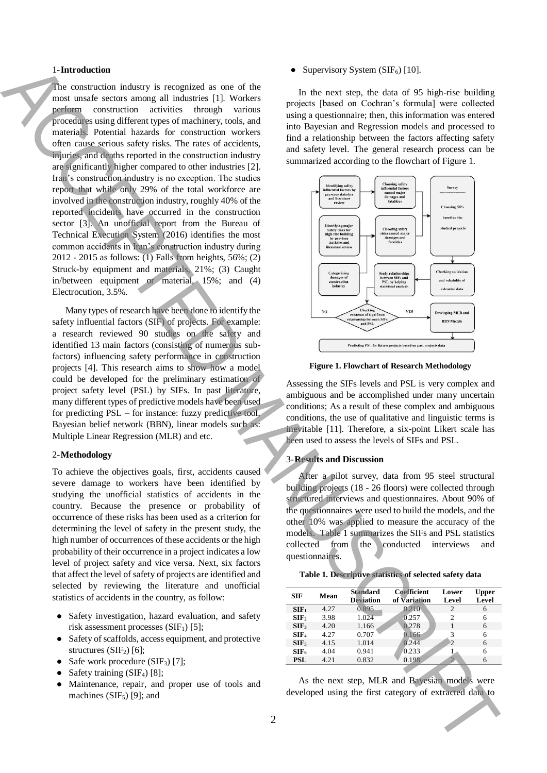#### 1-**Introduction**

The construction industry is recognized as one of the most unsafe sectors among all industries [1]. Workers perform construction activities through various procedures using different types of machinery, tools, and materials. Potential hazards for construction workers often cause serious safety risks. The rates of accidents, injuries, and deaths reported in the construction industry are significantly higher compared to other industries [2]. Iran's construction industry is no exception. The studies report that while only 29% of the total workforce are involved in the construction industry, roughly 40% of the reported incidents have occurred in the construction sector [3]. An unofficial report from the Bureau of Technical Execution System (2016) identifies the most common accidents in Iran's construction industry during 2012 - 2015 as follows:  $\overline{(1)}$  Falls from heights, 56%; (2) Struck-by equipment and materials, 21%; (3) Caught in/between equipment or material, 15%; and (4) Electrocution, 3.5%. The interaction of extracted developed using the first category of extracted the first category of extracted using the first category of extracted using the first category of extraction of extraction of extraction of extr

Many types of research have been done to identify the safety influential factors (SIF) of projects. For example: a research reviewed 90 studies on the safety and identified 13 main factors (consisting of numerous subfactors) influencing safety performance in construction projects [4]. This research aims to show how a model could be developed for the preliminary estimation of project safety level (PSL) by SIFs. In past literature, many different types of predictive models have been used for predicting PSL – for instance: fuzzy predictive tool, Bayesian belief network (BBN), linear models such as: Multiple Linear Regression (MLR) and etc.

#### 2-**Methodology**

To achieve the objectives goals, first, accidents caused severe damage to workers have been identified by studying the unofficial statistics of accidents in the country. Because the presence or probability of occurrence of these risks has been used as a criterion for determining the level of safety in the present study, the high number of occurrences of these accidents or the high probability of their occurrence in a project indicates a low level of project safety and vice versa. Next, six factors that affect the level of safety of projects are identified and selected by reviewing the literature and unofficial statistics of accidents in the country, as follow:

- Safety investigation, hazard evaluation, and safety risk assessment processes  $(SIF<sub>1</sub>)$  [5];
- Safety of scaffolds, access equipment, and protective structures  $(SIF<sub>2</sub>)$  [6];
- Safe work procedure  $(SIF_3)$  [7];
- Safety training  $(SIF<sub>4</sub>)$  [8];
- Maintenance, repair, and proper use of tools and machines  $(SIF_5)$  [9]; and

• Supervisory System (SIF<sub>6</sub>) [10].

In the next step, the data of 95 high-rise building projects [based on Cochran's formula] were collected using a questionnaire; then, this information was entered into Bayesian and Regression models and processed to find a relationship between the factors affecting safety and safety level. The general research process can be summarized according to the flowchart of Figure 1.



**Figure 1. Flowchart of Research Methodology**

Assessing the SIFs levels and PSL is very complex and ambiguous and be accomplished under many uncertain conditions; As a result of these complex and ambiguous conditions, the use of qualitative and linguistic terms is inevitable [11]. Therefore, a six-point Likert scale has been used to assess the levels of SIFs and PSL.

#### 3-**Results and Discussion**

After a pilot survey, data from 95 steel structural building projects (18 - 26 floors) were collected through structured interviews and questionnaires. About 90% of the questionnaires were used to build the models, and the other 10% was applied to measure the accuracy of the models. Table 1 summarizes the SIFs and PSL statistics collected from the conducted interviews and questionnaires.

| <b>SIF</b>       | Mean | <b>Standard</b><br><b>Deviation</b> | <b>Coefficient</b><br>of Variation | Lower<br>Level | Upper<br>Level |
|------------------|------|-------------------------------------|------------------------------------|----------------|----------------|
| SIF <sub>1</sub> | 4.27 | 0.895                               | 0.210                              | 2              | 6              |
| SIF <sub>2</sub> | 3.98 | 1.024                               | 0.257                              | $\overline{c}$ | 6              |
| SIF <sub>3</sub> | 4.20 | 1.166                               | 0.278                              |                | 6              |
| SIF <sub>4</sub> | 4.27 | 0.707                               | 0.166                              | 3              | 6              |
| SIF <sub>5</sub> | 4.15 | 1.014                               | 0.244                              | 2              | 6              |
| SIF <sub>6</sub> | 4.04 | 0.941                               | 0.233                              |                | 6              |
| PSL              | 4.21 | 0.832                               | 0.198                              |                |                |
|                  |      |                                     |                                    |                |                |

As the next step, MLR and Bayesian models were